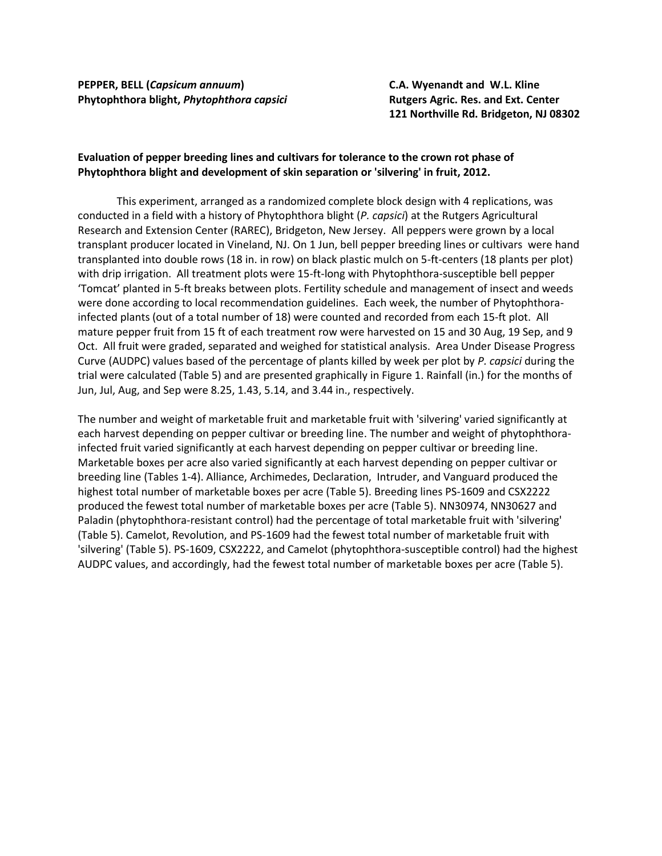**PEPPER, BELL (***Capsicum annuum***) C.A. Wyenandt and W.L. Kline Phytophthora blight,** *Phytophthora capsici* **Rutgers Agric. Res. and Ext. Center**

**121 Northville Rd. Bridgeton, NJ 08302**

## **Evaluation of pepper breeding lines and cultivars for tolerance to the crown rot phase of Phytophthora blight and development of skin separation or 'silvering' in fruit, 2012.**

This experiment, arranged as a randomized complete block design with 4 replications, was conducted in a field with a history of Phytophthora blight (*P. capsici*) at the Rutgers Agricultural Research and Extension Center (RAREC), Bridgeton, New Jersey. All peppers were grown by a local transplant producer located in Vineland, NJ. On 1 Jun, bell pepper breeding lines or cultivars were hand transplanted into double rows (18 in. in row) on black plastic mulch on 5-ft-centers (18 plants per plot) with drip irrigation. All treatment plots were 15-ft-long with Phytophthora-susceptible bell pepper 'Tomcat' planted in 5-ft breaks between plots. Fertility schedule and management of insect and weeds were done according to local recommendation guidelines. Each week, the number of Phytophthorainfected plants (out of a total number of 18) were counted and recorded from each 15-ft plot. All mature pepper fruit from 15 ft of each treatment row were harvested on 15 and 30 Aug, 19 Sep, and 9 Oct. All fruit were graded, separated and weighed for statistical analysis. Area Under Disease Progress Curve (AUDPC) values based of the percentage of plants killed by week per plot by *P. capsici* during the trial were calculated (Table 5) and are presented graphically in Figure 1. Rainfall (in.) for the months of Jun, Jul, Aug, and Sep were 8.25, 1.43, 5.14, and 3.44 in., respectively.

The number and weight of marketable fruit and marketable fruit with 'silvering' varied significantly at each harvest depending on pepper cultivar or breeding line. The number and weight of phytophthorainfected fruit varied significantly at each harvest depending on pepper cultivar or breeding line. Marketable boxes per acre also varied significantly at each harvest depending on pepper cultivar or breeding line (Tables 1-4). Alliance, Archimedes, Declaration, Intruder, and Vanguard produced the highest total number of marketable boxes per acre (Table 5). Breeding lines PS-1609 and CSX2222 produced the fewest total number of marketable boxes per acre (Table 5). NN30974, NN30627 and Paladin (phytophthora-resistant control) had the percentage of total marketable fruit with 'silvering' (Table 5). Camelot, Revolution, and PS-1609 had the fewest total number of marketable fruit with 'silvering' (Table 5). PS-1609, CSX2222, and Camelot (phytophthora-susceptible control) had the highest AUDPC values, and accordingly, had the fewest total number of marketable boxes per acre (Table 5).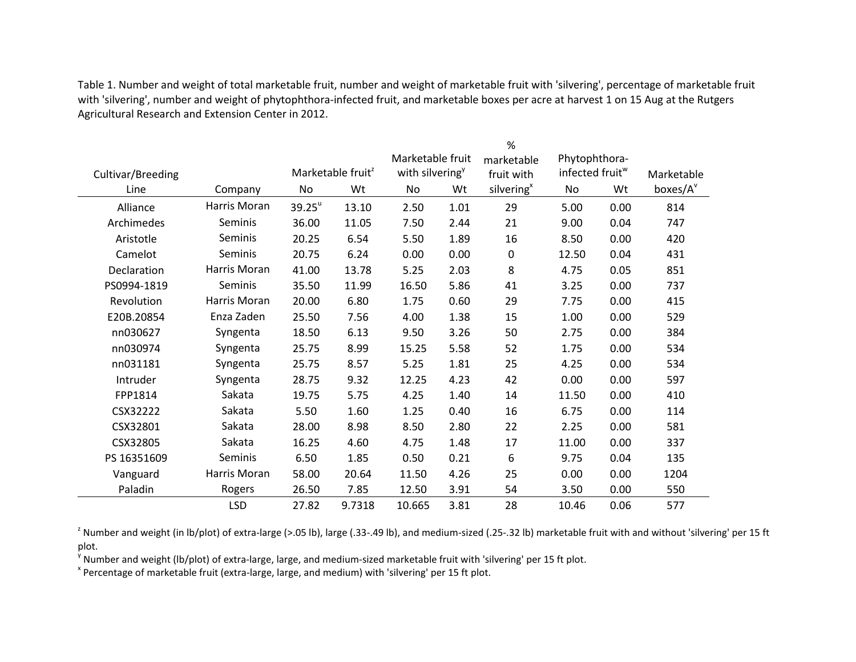Table 1. Number and weight of total marketable fruit, number and weight of marketable fruit with 'silvering', percentage of marketable fruit with 'silvering', number and weight of phytophthora-infected fruit, and marketable boxes per acre at harvest 1 on 15 Aug at the Rutgers Agricultural Research and Extension Center in 2012.

|                   |              |                               |        | %                           |      |                        |                             |      |            |  |
|-------------------|--------------|-------------------------------|--------|-----------------------------|------|------------------------|-----------------------------|------|------------|--|
|                   |              |                               |        | Marketable fruit            |      | marketable             | Phytophthora-               |      |            |  |
| Cultivar/Breeding |              | Marketable fruit <sup>2</sup> |        | with silvering <sup>y</sup> |      | fruit with             | infected fruit <sup>w</sup> |      | Marketable |  |
| Line              | Company      | No                            | Wt     | No                          | Wt   | silvering <sup>x</sup> | No                          | Wt   | boxes/A    |  |
| Alliance          | Harris Moran | $39.25^u$                     | 13.10  | 2.50                        | 1.01 | 29                     | 5.00                        | 0.00 | 814        |  |
| Archimedes        | Seminis      | 36.00                         | 11.05  | 7.50                        | 2.44 | 21                     | 9.00                        | 0.04 | 747        |  |
| Aristotle         | Seminis      | 20.25                         | 6.54   | 5.50                        | 1.89 | 16                     | 8.50                        | 0.00 | 420        |  |
| Camelot           | Seminis      | 20.75                         | 6.24   | 0.00                        | 0.00 | $\mathbf 0$            | 12.50                       | 0.04 | 431        |  |
| Declaration       | Harris Moran | 41.00                         | 13.78  | 5.25                        | 2.03 | 8                      | 4.75                        | 0.05 | 851        |  |
| PS0994-1819       | Seminis      | 35.50                         | 11.99  | 16.50                       | 5.86 | 41                     | 3.25                        | 0.00 | 737        |  |
| Revolution        | Harris Moran | 20.00                         | 6.80   | 1.75                        | 0.60 | 29                     | 7.75                        | 0.00 | 415        |  |
| E20B.20854        | Enza Zaden   | 25.50                         | 7.56   | 4.00                        | 1.38 | 15                     | 1.00                        | 0.00 | 529        |  |
| nn030627          | Syngenta     | 18.50                         | 6.13   | 9.50                        | 3.26 | 50                     | 2.75                        | 0.00 | 384        |  |
| nn030974          | Syngenta     | 25.75                         | 8.99   | 15.25                       | 5.58 | 52                     | 1.75                        | 0.00 | 534        |  |
| nn031181          | Syngenta     | 25.75                         | 8.57   | 5.25                        | 1.81 | 25                     | 4.25                        | 0.00 | 534        |  |
| Intruder          | Syngenta     | 28.75                         | 9.32   | 12.25                       | 4.23 | 42                     | 0.00                        | 0.00 | 597        |  |
| FPP1814           | Sakata       | 19.75                         | 5.75   | 4.25                        | 1.40 | 14                     | 11.50                       | 0.00 | 410        |  |
| CSX32222          | Sakata       | 5.50                          | 1.60   | 1.25                        | 0.40 | 16                     | 6.75                        | 0.00 | 114        |  |
| CSX32801          | Sakata       | 28.00                         | 8.98   | 8.50                        | 2.80 | 22                     | 2.25                        | 0.00 | 581        |  |
| CSX32805          | Sakata       | 16.25                         | 4.60   | 4.75                        | 1.48 | 17                     | 11.00                       | 0.00 | 337        |  |
| PS 16351609       | Seminis      | 6.50                          | 1.85   | 0.50                        | 0.21 | 6                      | 9.75                        | 0.04 | 135        |  |
| Vanguard          | Harris Moran | 58.00                         | 20.64  | 11.50                       | 4.26 | 25                     | 0.00                        | 0.00 | 1204       |  |
| Paladin           | Rogers       | 26.50                         | 7.85   | 12.50                       | 3.91 | 54                     | 3.50                        | 0.00 | 550        |  |
|                   | <b>LSD</b>   | 27.82                         | 9.7318 | 10.665                      | 3.81 | 28                     | 10.46                       | 0.06 | 577        |  |

<sup>z</sup> Number and weight (in lb/plot) of extra-large (>.05 lb), large (.33-.49 lb), and medium-sized (.25-.32 lb) marketable fruit with and without 'silvering' per 15 ft plot.

<sup>y</sup> Number and weight (lb/plot) of extra-large, large, and medium-sized marketable fruit with 'silvering' per 15 ft plot.

<sup>x</sup> Percentage of marketable fruit (extra-large, large, and medium) with 'silvering' per 15 ft plot.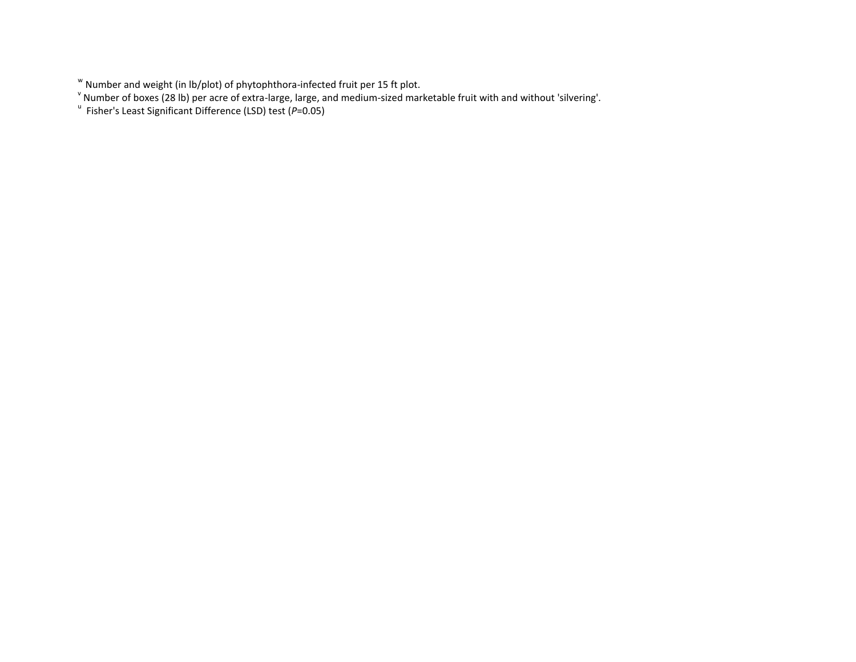<sup>&</sup>lt;sup>w</sup> Number and weight (in lb/plot) of phytophthora-infected fruit per 15 ft plot.<br><sup>v</sup> Number of boxes (28 lb) per acre of extra-large, large, and medium-sized marketable fruit with and without 'silvering'.<br><sup>u</sup> Fisher's Lea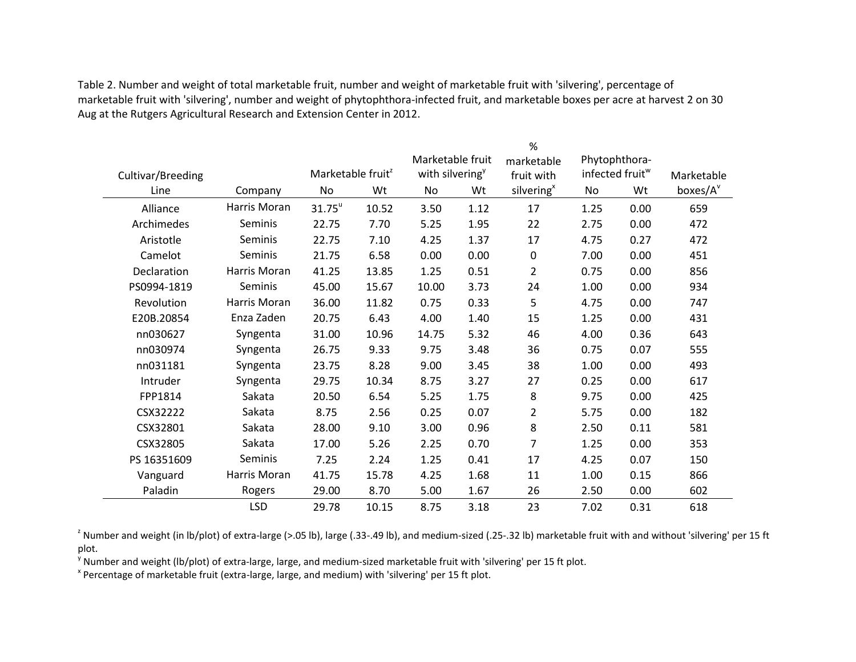Table 2. Number and weight of total marketable fruit, number and weight of marketable fruit with 'silvering', percentage of marketable fruit with 'silvering', number and weight of phytophthora-infected fruit, and marketable boxes per acre at harvest 2 on 30 Aug at the Rutgers Agricultural Research and Extension Center in 2012.

|                   |              |                               |       |                             |      | %                      |                             |               |                      |  |
|-------------------|--------------|-------------------------------|-------|-----------------------------|------|------------------------|-----------------------------|---------------|----------------------|--|
|                   |              | Marketable fruit              |       |                             |      | marketable             |                             | Phytophthora- |                      |  |
| Cultivar/Breeding |              | Marketable fruit <sup>2</sup> |       | with silvering <sup>y</sup> |      | fruit with             | infected fruit <sup>w</sup> |               | Marketable           |  |
| Line              | Company      | No                            | Wt    | No                          | Wt   | silvering <sup>x</sup> | No                          | Wt            | boxes/A <sup>v</sup> |  |
| Alliance          | Harris Moran | $31.75$ <sup>u</sup>          | 10.52 | 3.50                        | 1.12 | 17                     | 1.25                        | 0.00          | 659                  |  |
| Archimedes        | Seminis      | 22.75                         | 7.70  | 5.25                        | 1.95 | 22                     | 2.75                        | 0.00          | 472                  |  |
| Aristotle         | Seminis      | 22.75                         | 7.10  | 4.25                        | 1.37 | 17                     | 4.75                        | 0.27          | 472                  |  |
| Camelot           | Seminis      | 21.75                         | 6.58  | 0.00                        | 0.00 | 0                      | 7.00                        | 0.00          | 451                  |  |
| Declaration       | Harris Moran | 41.25                         | 13.85 | 1.25                        | 0.51 | $\overline{2}$         | 0.75                        | 0.00          | 856                  |  |
| PS0994-1819       | Seminis      | 45.00                         | 15.67 | 10.00                       | 3.73 | 24                     | 1.00                        | 0.00          | 934                  |  |
| Revolution        | Harris Moran | 36.00                         | 11.82 | 0.75                        | 0.33 | 5                      | 4.75                        | 0.00          | 747                  |  |
| E20B.20854        | Enza Zaden   | 20.75                         | 6.43  | 4.00                        | 1.40 | 15                     | 1.25                        | 0.00          | 431                  |  |
| nn030627          | Syngenta     | 31.00                         | 10.96 | 14.75                       | 5.32 | 46                     | 4.00                        | 0.36          | 643                  |  |
| nn030974          | Syngenta     | 26.75                         | 9.33  | 9.75                        | 3.48 | 36                     | 0.75                        | 0.07          | 555                  |  |
| nn031181          | Syngenta     | 23.75                         | 8.28  | 9.00                        | 3.45 | 38                     | 1.00                        | 0.00          | 493                  |  |
| Intruder          | Syngenta     | 29.75                         | 10.34 | 8.75                        | 3.27 | 27                     | 0.25                        | 0.00          | 617                  |  |
| FPP1814           | Sakata       | 20.50                         | 6.54  | 5.25                        | 1.75 | 8                      | 9.75                        | 0.00          | 425                  |  |
| CSX32222          | Sakata       | 8.75                          | 2.56  | 0.25                        | 0.07 | $\overline{2}$         | 5.75                        | 0.00          | 182                  |  |
| CSX32801          | Sakata       | 28.00                         | 9.10  | 3.00                        | 0.96 | 8                      | 2.50                        | 0.11          | 581                  |  |
| CSX32805          | Sakata       | 17.00                         | 5.26  | 2.25                        | 0.70 | $\overline{7}$         | 1.25                        | 0.00          | 353                  |  |
| PS 16351609       | Seminis      | 7.25                          | 2.24  | 1.25                        | 0.41 | 17                     | 4.25                        | 0.07          | 150                  |  |
| Vanguard          | Harris Moran | 41.75                         | 15.78 | 4.25                        | 1.68 | 11                     | 1.00                        | 0.15          | 866                  |  |
| Paladin           | Rogers       | 29.00                         | 8.70  | 5.00                        | 1.67 | 26                     | 2.50                        | 0.00          | 602                  |  |
|                   | <b>LSD</b>   | 29.78                         | 10.15 | 8.75                        | 3.18 | 23                     | 7.02                        | 0.31          | 618                  |  |

<sup>z</sup> Number and weight (in lb/plot) of extra-large (>.05 lb), large (.33-.49 lb), and medium-sized (.25-.32 lb) marketable fruit with and without 'silvering' per 15 ft plot.

<sup>y</sup> Number and weight (lb/plot) of extra-large, large, and medium-sized marketable fruit with 'silvering' per 15 ft plot.

<sup>x</sup> Percentage of marketable fruit (extra-large, large, and medium) with 'silvering' per 15 ft plot.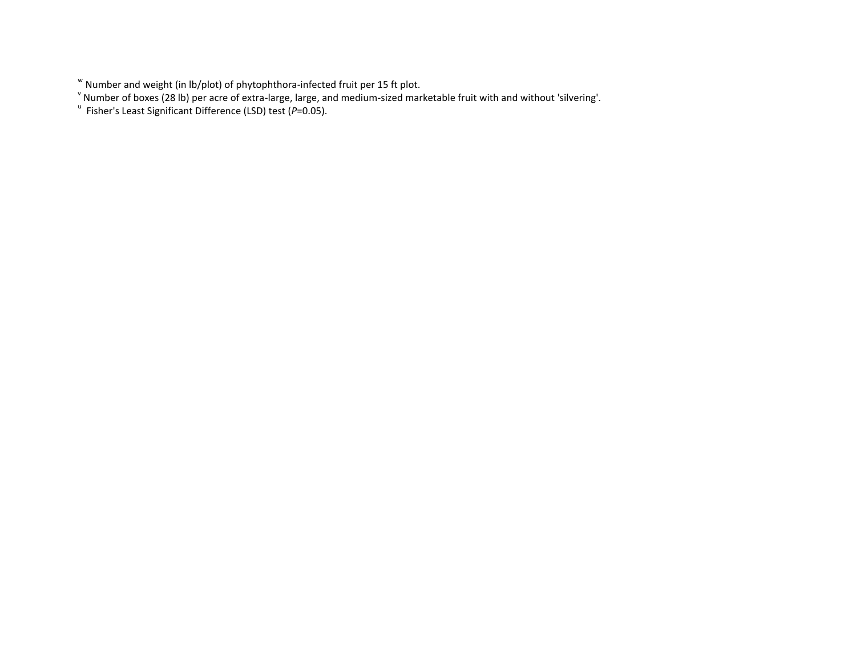<sup>&</sup>lt;sup>w</sup> Number and weight (in lb/plot) of phytophthora-infected fruit per 15 ft plot.<br><sup>v</sup> Number of boxes (28 lb) per acre of extra-large, large, and medium-sized marketable fruit with and without 'silvering'.<br><sup>u</sup> Fisher's Lea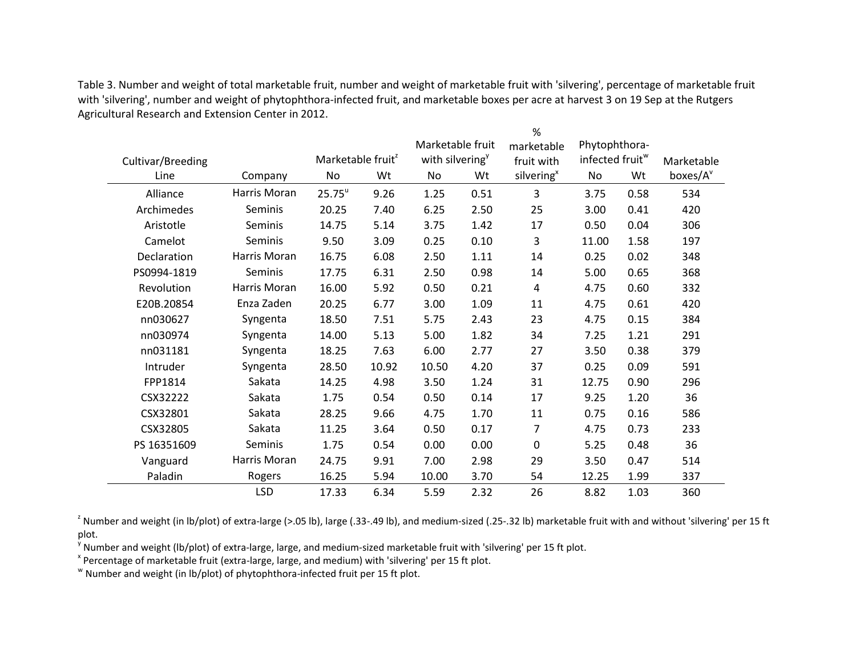Table 3. Number and weight of total marketable fruit, number and weight of marketable fruit with 'silvering', percentage of marketable fruit with 'silvering', number and weight of phytophthora-infected fruit, and marketable boxes per acre at harvest 3 on 19 Sep at the Rutgers Agricultural Research and Extension Center in 2012.

|                   |              |                               |       |                             |      | $\%$                   |                             |      |                      |
|-------------------|--------------|-------------------------------|-------|-----------------------------|------|------------------------|-----------------------------|------|----------------------|
|                   |              |                               |       | Marketable fruit            |      | marketable             | Phytophthora-               |      |                      |
| Cultivar/Breeding |              | Marketable fruit <sup>2</sup> |       | with silvering <sup>y</sup> |      | fruit with             | infected fruit <sup>w</sup> |      | Marketable           |
| Line              | Company      | No                            | Wt    | No                          | Wt   | silvering <sup>x</sup> | No                          | Wt   | boxes/A <sup>v</sup> |
| Alliance          | Harris Moran | $25.75^u$                     | 9.26  | 1.25                        | 0.51 | 3                      | 3.75                        | 0.58 | 534                  |
| Archimedes        | Seminis      | 20.25                         | 7.40  | 6.25                        | 2.50 | 25                     | 3.00                        | 0.41 | 420                  |
| Aristotle         | Seminis      | 14.75                         | 5.14  | 3.75                        | 1.42 | 17                     | 0.50                        | 0.04 | 306                  |
| Camelot           | Seminis      | 9.50                          | 3.09  | 0.25                        | 0.10 | 3                      | 11.00                       | 1.58 | 197                  |
| Declaration       | Harris Moran | 16.75                         | 6.08  | 2.50                        | 1.11 | 14                     | 0.25                        | 0.02 | 348                  |
| PS0994-1819       | Seminis      | 17.75                         | 6.31  | 2.50                        | 0.98 | 14                     | 5.00                        | 0.65 | 368                  |
| Revolution        | Harris Moran | 16.00                         | 5.92  | 0.50                        | 0.21 | 4                      | 4.75                        | 0.60 | 332                  |
| E20B.20854        | Enza Zaden   | 20.25                         | 6.77  | 3.00                        | 1.09 | 11                     | 4.75                        | 0.61 | 420                  |
| nn030627          | Syngenta     | 18.50                         | 7.51  | 5.75                        | 2.43 | 23                     | 4.75                        | 0.15 | 384                  |
| nn030974          | Syngenta     | 14.00                         | 5.13  | 5.00                        | 1.82 | 34                     | 7.25                        | 1.21 | 291                  |
| nn031181          | Syngenta     | 18.25                         | 7.63  | 6.00                        | 2.77 | 27                     | 3.50                        | 0.38 | 379                  |
| Intruder          | Syngenta     | 28.50                         | 10.92 | 10.50                       | 4.20 | 37                     | 0.25                        | 0.09 | 591                  |
| FPP1814           | Sakata       | 14.25                         | 4.98  | 3.50                        | 1.24 | 31                     | 12.75                       | 0.90 | 296                  |
| CSX32222          | Sakata       | 1.75                          | 0.54  | 0.50                        | 0.14 | 17                     | 9.25                        | 1.20 | 36                   |
| CSX32801          | Sakata       | 28.25                         | 9.66  | 4.75                        | 1.70 | 11                     | 0.75                        | 0.16 | 586                  |
| CSX32805          | Sakata       | 11.25                         | 3.64  | 0.50                        | 0.17 | $\overline{7}$         | 4.75                        | 0.73 | 233                  |
| PS 16351609       | Seminis      | 1.75                          | 0.54  | 0.00                        | 0.00 | 0                      | 5.25                        | 0.48 | 36                   |
| Vanguard          | Harris Moran | 24.75                         | 9.91  | 7.00                        | 2.98 | 29                     | 3.50                        | 0.47 | 514                  |
| Paladin           | Rogers       | 16.25                         | 5.94  | 10.00                       | 3.70 | 54                     | 12.25                       | 1.99 | 337                  |
|                   | <b>LSD</b>   | 17.33                         | 6.34  | 5.59                        | 2.32 | 26                     | 8.82                        | 1.03 | 360                  |

<sup>2</sup> Number and weight (in lb/plot) of extra-large (>.05 lb), large (.33-.49 lb), and medium-sized (.25-.32 lb) marketable fruit with and without 'silvering' per 15 ft plot.

<sup>y</sup> Number and weight (lb/plot) of extra-large, large, and medium-sized marketable fruit with 'silvering' per 15 ft plot.

<sup>x</sup> Percentage of marketable fruit (extra-large, large, and medium) with 'silvering' per 15 ft plot.

w Number and weight (in lb/plot) of phytophthora-infected fruit per 15 ft plot.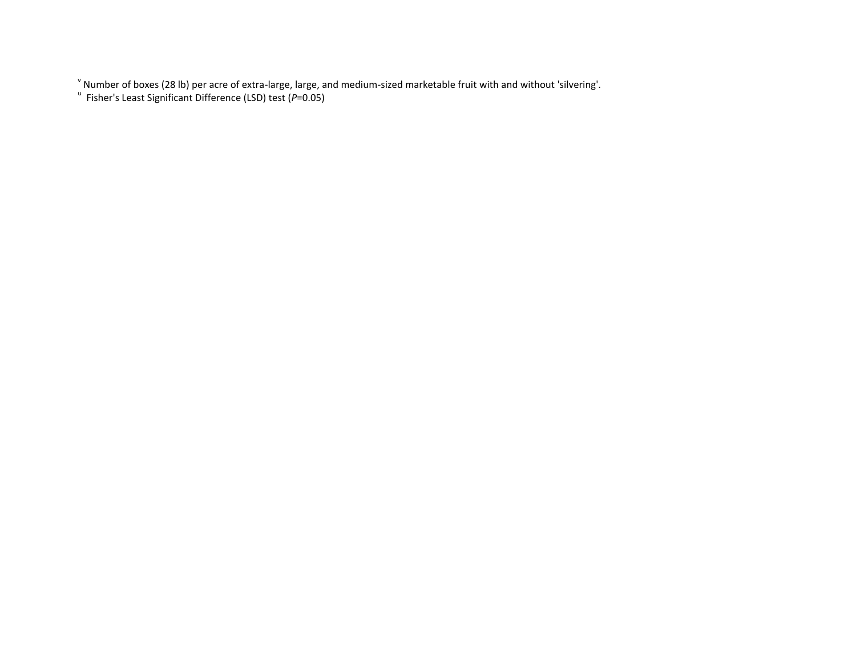v Number of boxes (28 lb) per acre of extra-large, large, and medium-sized marketable fruit with and without 'silvering'. u Fisher's Least Significant Difference (LSD) test (*P*=0.05)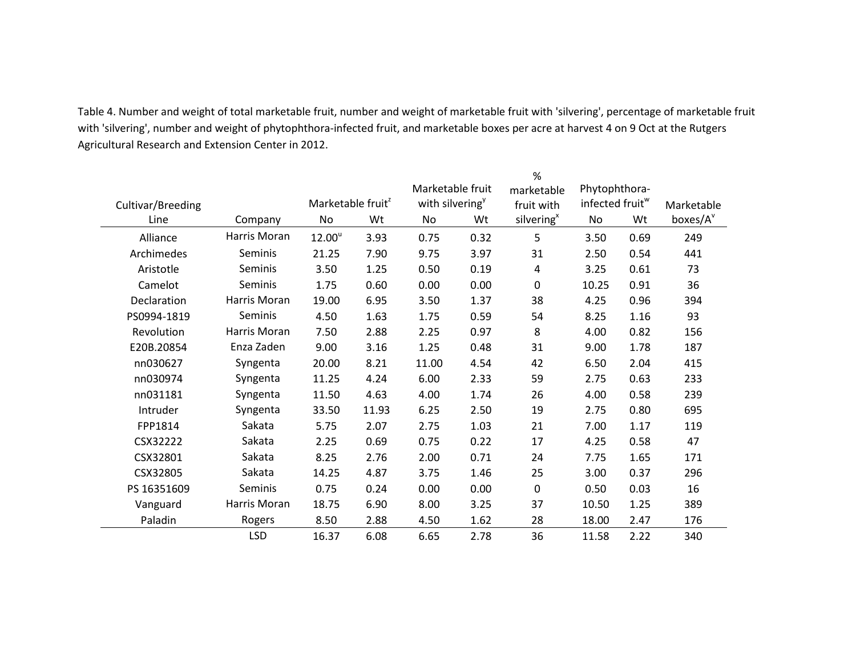Table 4. Number and weight of total marketable fruit, number and weight of marketable fruit with 'silvering', percentage of marketable fruit with 'silvering', number and weight of phytophthora-infected fruit, and marketable boxes per acre at harvest 4 on 9 Oct at the Rutgers Agricultural Research and Extension Center in 2012.

|                   |              |                               |       |                                |      | %                      |                             |      |                      |
|-------------------|--------------|-------------------------------|-------|--------------------------------|------|------------------------|-----------------------------|------|----------------------|
|                   |              |                               |       | Marketable fruit<br>marketable |      |                        | Phytophthora-               |      |                      |
| Cultivar/Breeding |              | Marketable fruit <sup>2</sup> |       | with silvering <sup>y</sup>    |      | fruit with             | infected fruit <sup>w</sup> |      | Marketable           |
| Line              | Company      | No                            | Wt    | No                             | Wt   | silvering <sup>x</sup> | No                          | Wt   | boxes/A <sup>v</sup> |
| Alliance          | Harris Moran | 12.00 <sup>u</sup>            | 3.93  | 0.75                           | 0.32 | 5                      | 3.50                        | 0.69 | 249                  |
| Archimedes        | Seminis      | 21.25                         | 7.90  | 9.75                           | 3.97 | 31                     | 2.50                        | 0.54 | 441                  |
| Aristotle         | Seminis      | 3.50                          | 1.25  | 0.50                           | 0.19 | 4                      | 3.25                        | 0.61 | 73                   |
| Camelot           | Seminis      | 1.75                          | 0.60  | 0.00                           | 0.00 | $\mathbf 0$            | 10.25                       | 0.91 | 36                   |
| Declaration       | Harris Moran | 19.00                         | 6.95  | 3.50                           | 1.37 | 38                     | 4.25                        | 0.96 | 394                  |
| PS0994-1819       | Seminis      | 4.50                          | 1.63  | 1.75                           | 0.59 | 54                     | 8.25                        | 1.16 | 93                   |
| Revolution        | Harris Moran | 7.50                          | 2.88  | 2.25                           | 0.97 | 8                      | 4.00                        | 0.82 | 156                  |
| E20B.20854        | Enza Zaden   | 9.00                          | 3.16  | 1.25                           | 0.48 | 31                     | 9.00                        | 1.78 | 187                  |
| nn030627          | Syngenta     | 20.00                         | 8.21  | 11.00                          | 4.54 | 42                     | 6.50                        | 2.04 | 415                  |
| nn030974          | Syngenta     | 11.25                         | 4.24  | 6.00                           | 2.33 | 59                     | 2.75                        | 0.63 | 233                  |
| nn031181          | Syngenta     | 11.50                         | 4.63  | 4.00                           | 1.74 | 26                     | 4.00                        | 0.58 | 239                  |
| Intruder          | Syngenta     | 33.50                         | 11.93 | 6.25                           | 2.50 | 19                     | 2.75                        | 0.80 | 695                  |
| FPP1814           | Sakata       | 5.75                          | 2.07  | 2.75                           | 1.03 | 21                     | 7.00                        | 1.17 | 119                  |
| CSX32222          | Sakata       | 2.25                          | 0.69  | 0.75                           | 0.22 | 17                     | 4.25                        | 0.58 | 47                   |
| CSX32801          | Sakata       | 8.25                          | 2.76  | 2.00                           | 0.71 | 24                     | 7.75                        | 1.65 | 171                  |
| CSX32805          | Sakata       | 14.25                         | 4.87  | 3.75                           | 1.46 | 25                     | 3.00                        | 0.37 | 296                  |
| PS 16351609       | Seminis      | 0.75                          | 0.24  | 0.00                           | 0.00 | $\pmb{0}$              | 0.50                        | 0.03 | 16                   |
| Vanguard          | Harris Moran | 18.75                         | 6.90  | 8.00                           | 3.25 | 37                     | 10.50                       | 1.25 | 389                  |
| Paladin           | Rogers       | 8.50                          | 2.88  | 4.50                           | 1.62 | 28                     | 18.00                       | 2.47 | 176                  |
|                   | <b>LSD</b>   | 16.37                         | 6.08  | 6.65                           | 2.78 | 36                     | 11.58                       | 2.22 | 340                  |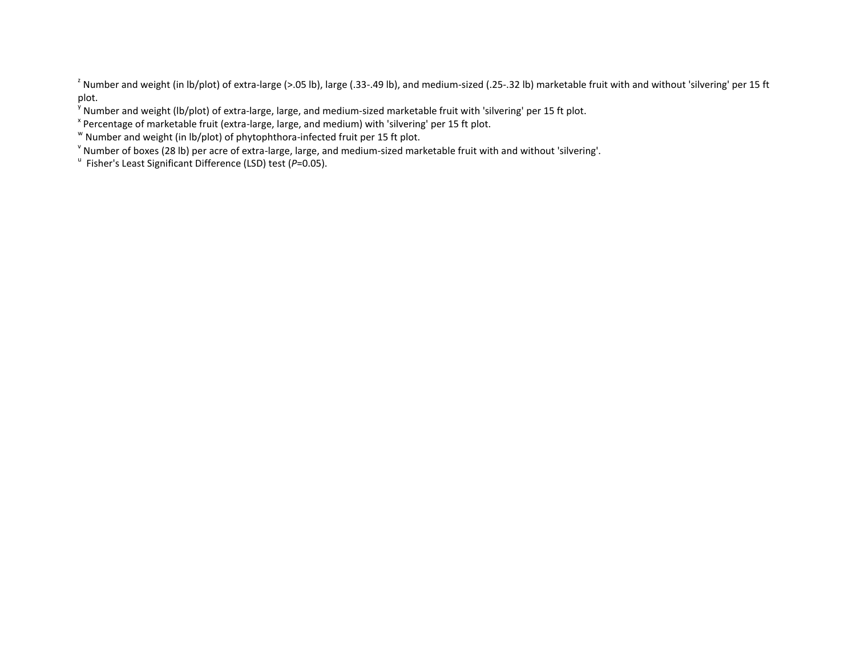<sup>2</sup> Number and weight (in lb/plot) of extra-large (>.05 lb), large (.33-.49 lb), and medium-sized (.25-.32 lb) marketable fruit with and without 'silvering' per 15 ft plot.

<sup>y</sup> Number and weight (lb/plot) of extra-large, large, and medium-sized marketable fruit with 'silvering' per 15 ft plot.

<sup>x</sup> Percentage of marketable fruit (extra-large, large, and medium) with 'silvering' per 15 ft plot.

 $\text{w}$  Number and weight (in lb/plot) of phytophthora-infected fruit per 15 ft plot.

v Number of boxes (28 lb) per acre of extra-large, large, and medium-sized marketable fruit with and without 'silvering'.

<sup>u</sup> Fisher's Least Significant Difference (LSD) test (P=0.05).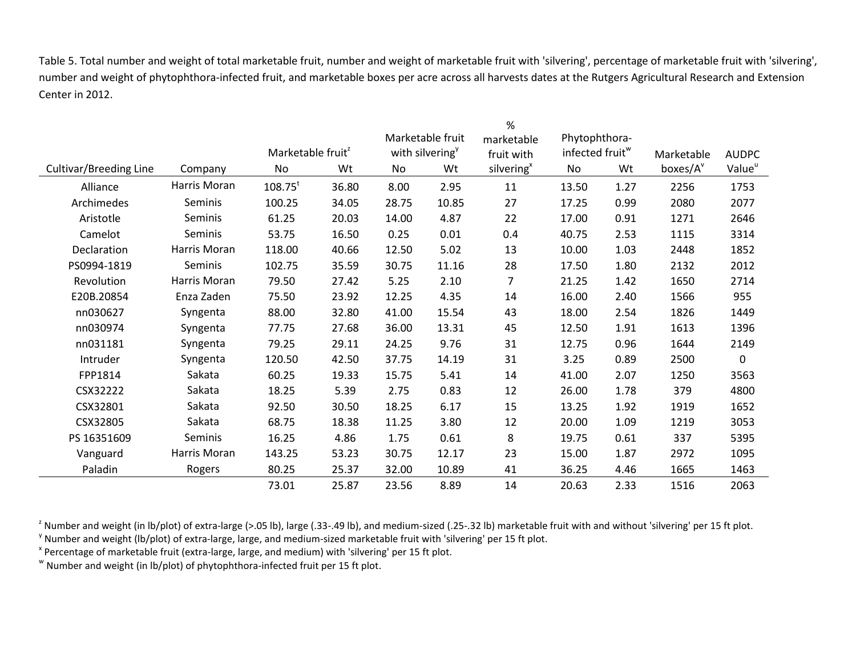Table 5. Total number and weight of total marketable fruit, number and weight of marketable fruit with 'silvering', percentage of marketable fruit with 'silvering', number and weight of phytophthora-infected fruit, and marketable boxes per acre across all harvests dates at the Rutgers Agricultural Research and Extension Center in 2012.

|                        |              |                               |       | %     |                                |                        |                             |      |                      |                    |
|------------------------|--------------|-------------------------------|-------|-------|--------------------------------|------------------------|-----------------------------|------|----------------------|--------------------|
|                        |              |                               |       |       | Marketable fruit<br>marketable |                        | Phytophthora-               |      |                      |                    |
|                        |              | Marketable fruit <sup>2</sup> |       |       | with silvering <sup>y</sup>    | fruit with             | infected fruit <sup>w</sup> |      | Marketable           | <b>AUDPC</b>       |
| Cultivar/Breeding Line | Company      | No                            | Wt    | No    | Wt                             | silvering <sup>x</sup> | No                          | Wt   | boxes/A <sup>v</sup> | Value <sup>u</sup> |
| Alliance               | Harris Moran | $108.75^t$                    | 36.80 | 8.00  | 2.95                           | 11                     | 13.50                       | 1.27 | 2256                 | 1753               |
| Archimedes             | Seminis      | 100.25                        | 34.05 | 28.75 | 10.85                          | 27                     | 17.25                       | 0.99 | 2080                 | 2077               |
| Aristotle              | Seminis      | 61.25                         | 20.03 | 14.00 | 4.87                           | 22                     | 17.00                       | 0.91 | 1271                 | 2646               |
| Camelot                | Seminis      | 53.75                         | 16.50 | 0.25  | 0.01                           | 0.4                    | 40.75                       | 2.53 | 1115                 | 3314               |
| Declaration            | Harris Moran | 118.00                        | 40.66 | 12.50 | 5.02                           | 13                     | 10.00                       | 1.03 | 2448                 | 1852               |
| PS0994-1819            | Seminis      | 102.75                        | 35.59 | 30.75 | 11.16                          | 28                     | 17.50                       | 1.80 | 2132                 | 2012               |
| Revolution             | Harris Moran | 79.50                         | 27.42 | 5.25  | 2.10                           | 7                      | 21.25                       | 1.42 | 1650                 | 2714               |
| E20B.20854             | Enza Zaden   | 75.50                         | 23.92 | 12.25 | 4.35                           | 14                     | 16.00                       | 2.40 | 1566                 | 955                |
| nn030627               | Syngenta     | 88.00                         | 32.80 | 41.00 | 15.54                          | 43                     | 18.00                       | 2.54 | 1826                 | 1449               |
| nn030974               | Syngenta     | 77.75                         | 27.68 | 36.00 | 13.31                          | 45                     | 12.50                       | 1.91 | 1613                 | 1396               |
| nn031181               | Syngenta     | 79.25                         | 29.11 | 24.25 | 9.76                           | 31                     | 12.75                       | 0.96 | 1644                 | 2149               |
| Intruder               | Syngenta     | 120.50                        | 42.50 | 37.75 | 14.19                          | 31                     | 3.25                        | 0.89 | 2500                 | $\mathbf 0$        |
| FPP1814                | Sakata       | 60.25                         | 19.33 | 15.75 | 5.41                           | 14                     | 41.00                       | 2.07 | 1250                 | 3563               |
| CSX32222               | Sakata       | 18.25                         | 5.39  | 2.75  | 0.83                           | 12                     | 26.00                       | 1.78 | 379                  | 4800               |
| CSX32801               | Sakata       | 92.50                         | 30.50 | 18.25 | 6.17                           | 15                     | 13.25                       | 1.92 | 1919                 | 1652               |
| CSX32805               | Sakata       | 68.75                         | 18.38 | 11.25 | 3.80                           | 12                     | 20.00                       | 1.09 | 1219                 | 3053               |
| PS 16351609            | Seminis      | 16.25                         | 4.86  | 1.75  | 0.61                           | 8                      | 19.75                       | 0.61 | 337                  | 5395               |
| Vanguard               | Harris Moran | 143.25                        | 53.23 | 30.75 | 12.17                          | 23                     | 15.00                       | 1.87 | 2972                 | 1095               |
| Paladin                | Rogers       | 80.25                         | 25.37 | 32.00 | 10.89                          | 41                     | 36.25                       | 4.46 | 1665                 | 1463               |
|                        |              | 73.01                         | 25.87 | 23.56 | 8.89                           | 14                     | 20.63                       | 2.33 | 1516                 | 2063               |

<sup>2</sup> Number and weight (in lb/plot) of extra-large (>.05 lb), large (.33-.49 lb), and medium-sized (.25-.32 lb) marketable fruit with and without 'silvering' per 15 ft plot. <sup>y</sup> Number and weight (lb/plot) of extra-large, large, and medium-sized marketable fruit with 'silvering' per 15 ft plot.

<sup>x</sup> Percentage of marketable fruit (extra-large, large, and medium) with 'silvering' per 15 ft plot.

 $\text{w}$  Number and weight (in lb/plot) of phytophthora-infected fruit per 15 ft plot.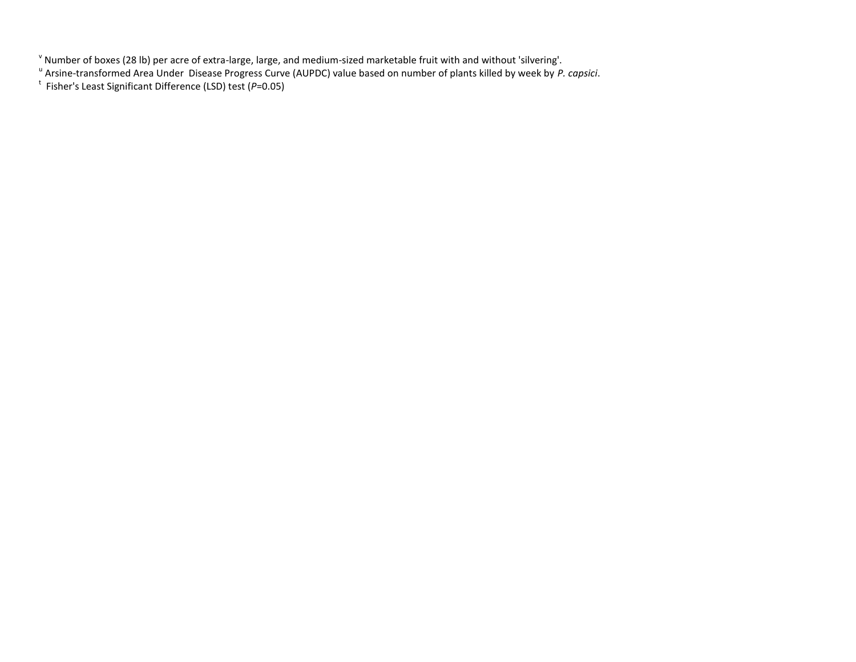<sup>v</sup> Number of boxes (28 lb) per acre of extra-large, large, and medium-sized marketable fruit with and without 'silvering'.<br><sup>u</sup> Arsine-transformed Area Under Disease Progress Curve (AUPDC) value based on number of plants k